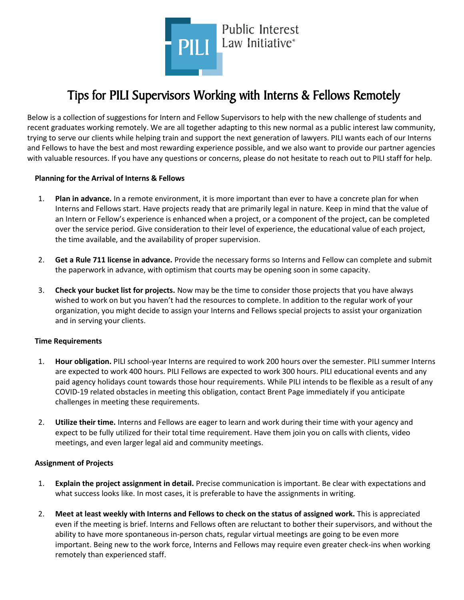

# Tips for PILI Supervisors Working with Interns & Fellows Remotely

Below is a collection of suggestions for Intern and Fellow Supervisors to help with the new challenge of students and recent graduates working remotely. We are all together adapting to this new normal as a public interest law community, trying to serve our clients while helping train and support the next generation of lawyers. PILI wants each of our Interns and Fellows to have the best and most rewarding experience possible, and we also want to provide our partner agencies with valuable resources. If you have any questions or concerns, please do not hesitate to reach out to PILI staff for help.

### **Planning for the Arrival of Interns & Fellows**

- 1. **Plan in advance.** In a remote environment, it is more important than ever to have a concrete plan for when Interns and Fellows start. Have projects ready that are primarily legal in nature. Keep in mind that the value of an Intern or Fellow's experience is enhanced when a project, or a component of the project, can be completed over the service period. Give consideration to their level of experience, the educational value of each project, the time available, and the availability of proper supervision.
- 2. **Get a Rule 711 license in advance.** Provide the necessary forms so Interns and Fellow can complete and submit the paperwork in advance, with optimism that courts may be opening soon in some capacity.
- 3. **Check your bucket list for projects.** Now may be the time to consider those projects that you have always wished to work on but you haven't had the resources to complete. In addition to the regular work of your organization, you might decide to assign your Interns and Fellows special projects to assist your organization and in serving your clients.

## **Time Requirements**

- 1. **Hour obligation.** PILI school-year Interns are required to work 200 hours over the semester. PILI summer Interns are expected to work 400 hours. PILI Fellows are expected to work 300 hours. PILI educational events and any paid agency holidays count towards those hour requirements. While PILI intends to be flexible as a result of any COVID-19 related obstacles in meeting this obligation, contact Brent Page immediately if you anticipate challenges in meeting these requirements.
- 2. **Utilize their time.** Interns and Fellows are eager to learn and work during their time with your agency and expect to be fully utilized for their total time requirement. Have them join you on calls with clients, video meetings, and even larger legal aid and community meetings.

## **Assignment of Projects**

- 1. **Explain the project assignment in detail.** Precise communication is important. Be clear with expectations and what success looks like. In most cases, it is preferable to have the assignments in writing.
- 2. **Meet at least weekly with Interns and Fellows to check on the status of assigned work.** This is appreciated even if the meeting is brief. Interns and Fellows often are reluctant to bother their supervisors, and without the ability to have more spontaneous in-person chats, regular virtual meetings are going to be even more important. Being new to the work force, Interns and Fellows may require even greater check-ins when working remotely than experienced staff.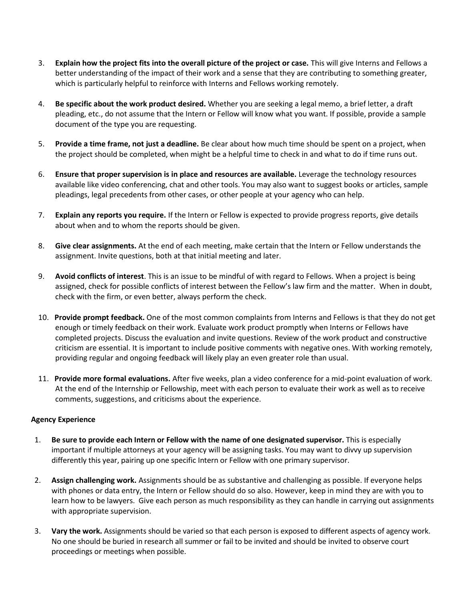- 3. **Explain how the project fits into the overall picture of the project or case.** This will give Interns and Fellows a better understanding of the impact of their work and a sense that they are contributing to something greater, which is particularly helpful to reinforce with Interns and Fellows working remotely.
- 4. **Be specific about the work product desired.** Whether you are seeking a legal memo, a brief letter, a draft pleading, etc., do not assume that the Intern or Fellow will know what you want. If possible, provide a sample document of the type you are requesting.
- 5. **Provide a time frame, not just a deadline.** Be clear about how much time should be spent on a project, when the project should be completed, when might be a helpful time to check in and what to do if time runs out.
- 6. **Ensure that proper supervision is in place and resources are available.** Leverage the technology resources available like video conferencing, chat and other tools. You may also want to suggest books or articles, sample pleadings, legal precedents from other cases, or other people at your agency who can help.
- 7. **Explain any reports you require.** If the Intern or Fellow is expected to provide progress reports, give details about when and to whom the reports should be given.
- 8. **Give clear assignments.** At the end of each meeting, make certain that the Intern or Fellow understands the assignment. Invite questions, both at that initial meeting and later.
- 9. **Avoid conflicts of interest**. This is an issue to be mindful of with regard to Fellows. When a project is being assigned, check for possible conflicts of interest between the Fellow's law firm and the matter. When in doubt, check with the firm, or even better, always perform the check.
- 10. **Provide prompt feedback.** One of the most common complaints from Interns and Fellows is that they do not get enough or timely feedback on their work. Evaluate work product promptly when Interns or Fellows have completed projects. Discuss the evaluation and invite questions. Review of the work product and constructive criticism are essential. It is important to include positive comments with negative ones. With working remotely, providing regular and ongoing feedback will likely play an even greater role than usual.
- 11. **Provide more formal evaluations.** After five weeks, plan a video conference for a mid-point evaluation of work. At the end of the Internship or Fellowship, meet with each person to evaluate their work as well as to receive comments, suggestions, and criticisms about the experience.

## **Agency Experience**

- 1. **Be sure to provide each Intern or Fellow with the name of one designated supervisor.** This is especially important if multiple attorneys at your agency will be assigning tasks. You may want to divvy up supervision differently this year, pairing up one specific Intern or Fellow with one primary supervisor.
- 2. **Assign challenging work.** Assignments should be as substantive and challenging as possible. If everyone helps with phones or data entry, the Intern or Fellow should do so also. However, keep in mind they are with you to learn how to be lawyers. Give each person as much responsibility as they can handle in carrying out assignments with appropriate supervision.
- 3. **Vary the work.** Assignments should be varied so that each person is exposed to different aspects of agency work. No one should be buried in research all summer or fail to be invited and should be invited to observe court proceedings or meetings when possible.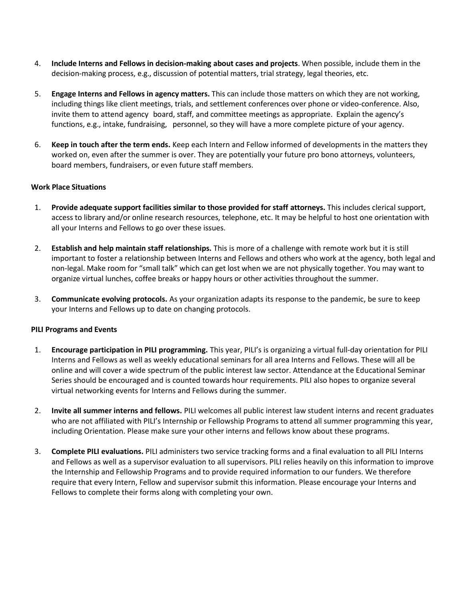- 4. **Include Interns and Fellows in decision-making about cases and projects**. When possible, include them in the decision-making process, e.g., discussion of potential matters, trial strategy, legal theories, etc.
- 5. **Engage Interns and Fellows in agency matters.** This can include those matters on which they are not working, including things like client meetings, trials, and settlement conferences over phone or video-conference. Also, invite them to attend agency board, staff, and committee meetings as appropriate. Explain the agency's functions, e.g., intake, fundraising, personnel, so they will have a more complete picture of your agency.
- 6. **Keep in touch after the term ends.** Keep each Intern and Fellow informed of developments in the matters they worked on, even after the summer is over. They are potentially your future pro bono attorneys, volunteers, board members, fundraisers, or even future staff members.

## **Work Place Situations**

- 1. **Provide adequate support facilities similar to those provided for staff attorneys.** This includes clerical support, access to library and/or online research resources, telephone, etc. It may be helpful to host one orientation with all your Interns and Fellows to go over these issues.
- 2. **Establish and help maintain staff relationships.** This is more of a challenge with remote work but it is still important to foster a relationship between Interns and Fellows and others who work at the agency, both legal and non-legal. Make room for "small talk" which can get lost when we are not physically together. You may want to organize virtual lunches, coffee breaks or happy hours or other activities throughout the summer.
- 3. **Communicate evolving protocols.** As your organization adapts its response to the pandemic, be sure to keep your Interns and Fellows up to date on changing protocols.

## **PILI Programs and Events**

- 1. **Encourage participation in PILI programming.** This year, PILI's is organizing a virtual full-day orientation for PILI Interns and Fellows as well as weekly educational seminars for all area Interns and Fellows. These will all be online and will cover a wide spectrum of the public interest law sector. Attendance at the Educational Seminar Series should be encouraged and is counted towards hour requirements. PILI also hopes to organize several virtual networking events for Interns and Fellows during the summer.
- 2. **Invite all summer interns and fellows.** PILI welcomes all public interest law student interns and recent graduates who are not affiliated with PILI's Internship or Fellowship Programs to attend all summer programming this year, including Orientation. Please make sure your other interns and fellows know about these programs.
- 3. **Complete PILI evaluations.** PILI administers two service tracking forms and a final evaluation to all PILI Interns and Fellows as well as a supervisor evaluation to all supervisors. PILI relies heavily on this information to improve the Internship and Fellowship Programs and to provide required information to our funders. We therefore require that every Intern, Fellow and supervisor submit this information. Please encourage your Interns and Fellows to complete their forms along with completing your own.